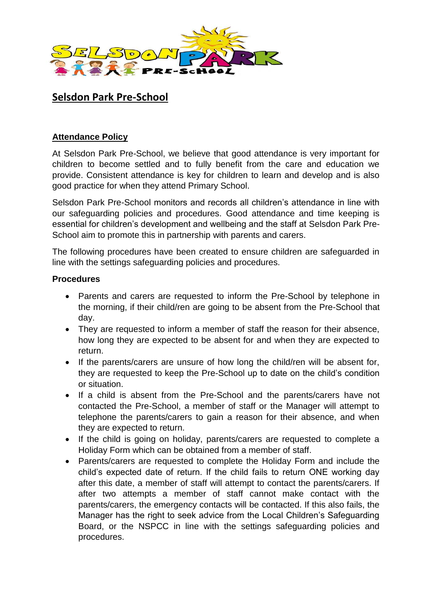

## **Selsdon Park Pre-School**

## **Attendance Policy**

At Selsdon Park Pre-School, we believe that good attendance is very important for children to become settled and to fully benefit from the care and education we provide. Consistent attendance is key for children to learn and develop and is also good practice for when they attend Primary School.

Selsdon Park Pre-School monitors and records all children's attendance in line with our safeguarding policies and procedures. Good attendance and time keeping is essential for children's development and wellbeing and the staff at Selsdon Park Pre-School aim to promote this in partnership with parents and carers.

The following procedures have been created to ensure children are safeguarded in line with the settings safeguarding policies and procedures.

## **Procedures**

- Parents and carers are requested to inform the Pre-School by telephone in the morning, if their child/ren are going to be absent from the Pre-School that day.
- They are requested to inform a member of staff the reason for their absence, how long they are expected to be absent for and when they are expected to return.
- If the parents/carers are unsure of how long the child/ren will be absent for, they are requested to keep the Pre-School up to date on the child's condition or situation.
- If a child is absent from the Pre-School and the parents/carers have not contacted the Pre-School, a member of staff or the Manager will attempt to telephone the parents/carers to gain a reason for their absence, and when they are expected to return.
- If the child is going on holiday, parents/carers are requested to complete a Holiday Form which can be obtained from a member of staff.
- Parents/carers are requested to complete the Holiday Form and include the child's expected date of return. If the child fails to return ONE working day after this date, a member of staff will attempt to contact the parents/carers. If after two attempts a member of staff cannot make contact with the parents/carers, the emergency contacts will be contacted. If this also fails, the Manager has the right to seek advice from the Local Children's Safeguarding Board, or the NSPCC in line with the settings safeguarding policies and procedures.